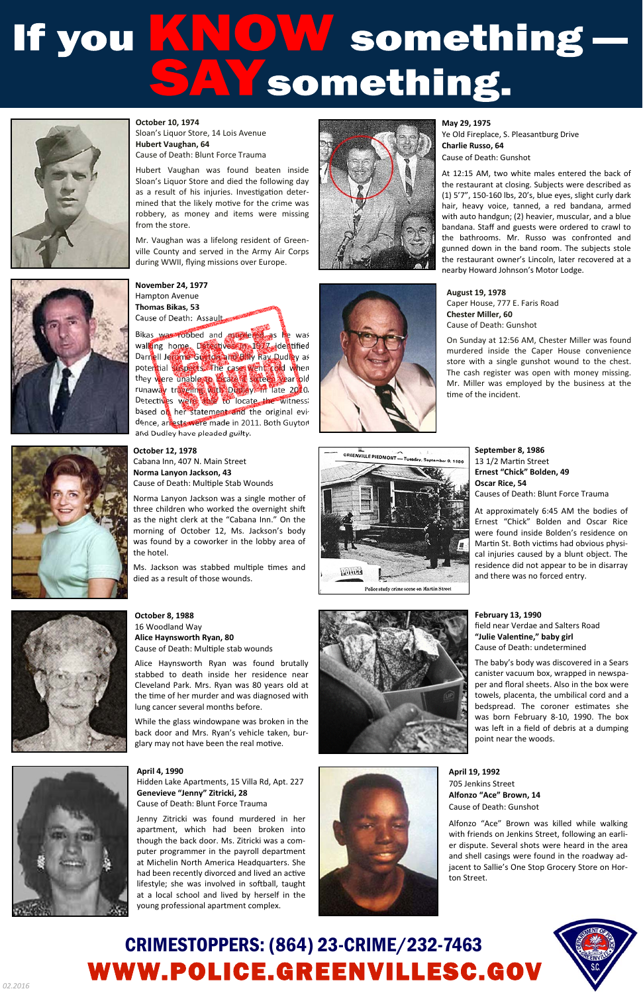## If you KNOW something —





Hubert Vaughan was found beaten inside Sloan's Liquor Store and died the following day as a result of his injuries. Investigation determined that the likely motive for the crime was robbery, as money and items were missing from the store.

> On Sunday at 12:56 AM, Chester Miller was found murdered inside the Caper House convenience store with a single gunshot wound to the chest. The cash register was open with money missing. Mr. Miller was employed by the business at the time of the incident.





Mr. Vaughan was a lifelong resident of Greenville County and served in the Army Air Corps during WWII, flying missions over Europe.



**August 19, 1978**  Caper House, 777 E. Faris Road **Chester Miller, 60** Cause of Death: Gunshot

**Norma Lanyon Jackson, 43**  Cause of Death: Multiple Stab Wounds

## CRIMESTOPPERS: (864) 23-CRIME/232-7463 WWW.POLICE.GREENVILLESC.GOV



**May 29, 1975**  Ye Old Fireplace, S. Pleasantburg Drive **Charlie Russo, 64**  Cause of Death: Gunshot

Ms. Jackson was stabbed multiple times and died as a result of those wounds.

**October 8, 1988**  16 Woodland Way **Alice Haynsworth Ryan, 80**  Cause of Death: Multiple stab wounds



back door and Mrs. Ryan's vehicle taken, burglary may not have been the real motive.



At 12:15 AM, two white males entered the back of the restaurant at closing. Subjects were described as (1) 5'7", 150-160 lbs, 20's, blue eyes, slight curly dark hair, heavy voice, tanned, a red bandana, armed with auto handgun; (2) heavier, muscular, and a blue bandana. Staff and guests were ordered to crawl to the bathrooms. Mr. Russo was confronted and gunned down in the band room. The subjects stole the restaurant owner's Lincoln, later recovered at a nearby Howard Johnson's Motor Lodge.

**October 12, 1978**  Cabana Inn, 407 N. Main Street

Norma Lanyon Jackson was a single mother of three children who worked the overnight shift as the night clerk at the "Cabana Inn." On the morning of October 12, Ms. Jackson's body was found by a coworker in the lobby area of the hotel.

Alice Haynsworth Ryan was found brutally stabbed to death inside her residence near Cleveland Park. Mrs. Ryan was 80 years old at the time of her murder and was diagnosed with lung cancer several months before.

While the glass windowpane was broken in the





**September 8, 1986**  13 1/2 Martin Street **Ernest "Chick" Bolden, 49 Oscar Rice, 54**  Causes of Death: Blunt Force Trauma

At approximately 6:45 AM the bodies of Ernest "Chick" Bolden and Oscar Rice were found inside Bolden's residence on Martin St. Both victims had obvious physical injuries caused by a blunt object. The residence did not appear to be in disarray and there was no forced entry.

**April 4, 1990**  Hidden Lake Apartments, 15 Villa Rd, Apt. 227 **Genevieve "Jenny" Zitricki, 28**  Cause of Death: Blunt Force Trauma

Jenny Zitricki was found murdered in her apartment, which had been broken into though the back door. Ms. Zitricki was a computer programmer in the payroll department at Michelin North America Headquarters. She had been recently divorced and lived an active lifestyle; she was involved in softball, taught at a local school and lived by herself in the young professional apartment complex.



**April 19, 1992**  705 Jenkins Street **Alfonzo "Ace" Brown, 14**  Cause of Death: Gunshot

Alfonzo "Ace" Brown was killed while walking with friends on Jenkins Street, following an earlier dispute. Several shots were heard in the area and shell casings were found in the roadway adjacent to Sallie's One Stop Grocery Store on Horton Street.

**February 13, 1990**  field near Verdae and Salters Road **"Julie ValenƟne," baby girl**  Cause of Death: undetermined

The baby's body was discovered in a Sears canister vacuum box, wrapped in newspaper and floral sheets. Also in the box were towels, placenta, the umbilical cord and a bedspread. The coroner estimates she was born February 8-10, 1990. The box was left in a field of debris at a dumping point near the woods.



**November 24, 1977**  Hampton Avenue **Thomas Bikas, 53**  Cause of Death: Assault

Bikas was robbed and murdered as he was walking home. Detectives in 1977 identified Darnell Jerome Guyton and Billy Ray Dudley as potential suspects. The cases went cold when they were unable to locate a sixteen year old runaway traveling with Dudley. In late 2010, Detectives were able to locate the witness; based on her statement and the original evidence, arrests were made in 2011. Both Guyton and Dudley have pleaded guilty.